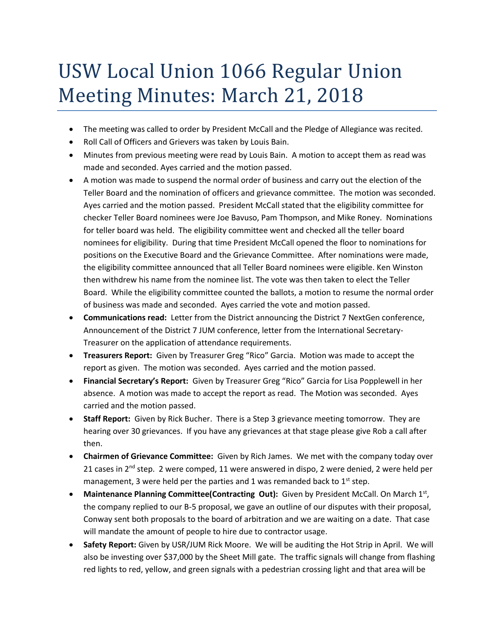## USW Local Union 1066 Regular Union Meeting Minutes: March 21, 2018

- The meeting was called to order by President McCall and the Pledge of Allegiance was recited.
- Roll Call of Officers and Grievers was taken by Louis Bain.
- Minutes from previous meeting were read by Louis Bain. A motion to accept them as read was made and seconded. Ayes carried and the motion passed.
- A motion was made to suspend the normal order of business and carry out the election of the Teller Board and the nomination of officers and grievance committee. The motion was seconded. Ayes carried and the motion passed. President McCall stated that the eligibility committee for checker Teller Board nominees were Joe Bavuso, Pam Thompson, and Mike Roney. Nominations for teller board was held. The eligibility committee went and checked all the teller board nominees for eligibility. During that time President McCall opened the floor to nominations for positions on the Executive Board and the Grievance Committee. After nominations were made, the eligibility committee announced that all Teller Board nominees were eligible. Ken Winston then withdrew his name from the nominee list. The vote was then taken to elect the Teller Board. While the eligibility committee counted the ballots, a motion to resume the normal order of business was made and seconded. Ayes carried the vote and motion passed.
- **Communications read:** Letter from the District announcing the District 7 NextGen conference, Announcement of the District 7 JUM conference, letter from the International Secretary-Treasurer on the application of attendance requirements.
- **Treasurers Report:** Given by Treasurer Greg "Rico" Garcia. Motion was made to accept the report as given. The motion was seconded. Ayes carried and the motion passed.
- **Financial Secretary's Report:** Given by Treasurer Greg "Rico" Garcia for Lisa Popplewell in her absence. A motion was made to accept the report as read. The Motion was seconded. Ayes carried and the motion passed.
- **Staff Report:** Given by Rick Bucher. There is a Step 3 grievance meeting tomorrow. They are hearing over 30 grievances. If you have any grievances at that stage please give Rob a call after then.
- **Chairmen of Grievance Committee:** Given by Rich James. We met with the company today over 21 cases in  $2^{nd}$  step. 2 were comped, 11 were answered in dispo, 2 were denied, 2 were held per management, 3 were held per the parties and 1 was remanded back to  $1^{st}$  step.
- Maintenance Planning Committee(Contracting Out): Given by President McCall. On March 1<sup>st</sup>, the company replied to our B-5 proposal, we gave an outline of our disputes with their proposal, Conway sent both proposals to the board of arbitration and we are waiting on a date. That case will mandate the amount of people to hire due to contractor usage.
- **Safety Report:** Given by USR/JUM Rick Moore. We will be auditing the Hot Strip in April. We will also be investing over \$37,000 by the Sheet Mill gate. The traffic signals will change from flashing red lights to red, yellow, and green signals with a pedestrian crossing light and that area will be